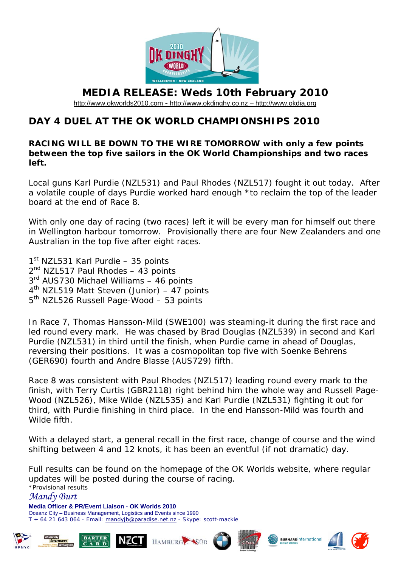

**MEDIA RELEASE: Weds 10th February 2010** 

[http://www.okworlds2010.com](http://www.okworlds2010.com/) - [http://www.okdinghy.co.nz](http://www.okdinghy.co.nz/) – http://www.okdia.org

## **DAY 4 DUEL AT THE OK WORLD CHAMPIONSHIPS 2010**

## **RACING WILL BE DOWN TO THE WIRE TOMORROW with only a few points between the top five sailors in the OK World Championships and two races left.**

Local guns Karl Purdie (NZL531) and Paul Rhodes (NZL517) fought it out today. After a volatile couple of days Purdie worked hard enough \*to reclaim the top of the leader board at the end of Race 8.

With only one day of racing (two races) left it will be every man for himself out there in Wellington harbour tomorrow. Provisionally there are four New Zealanders and one Australian in the top five after eight races.

1<sup>st</sup> NZL531 Karl Purdie – 35 points 2<sup>nd</sup> NZL517 Paul Rhodes - 43 points 3<sup>rd</sup> AUS730 Michael Williams – 46 points  $4<sup>th</sup>$  NZL519 Matt Steven (Junior) – 47 points 5<sup>th</sup> NZL526 Russell Page-Wood – 53 points

In Race 7, Thomas Hansson-Mild (SWE100) was steaming-it during the first race and led round every mark. He was chased by Brad Douglas (NZL539) in second and Karl Purdie (NZL531) in third until the finish, when Purdie came in ahead of Douglas, reversing their positions. It was a cosmopolitan top five with Soenke Behrens (GER690) fourth and Andre Blasse (AUS729) fifth.

Race 8 was consistent with Paul Rhodes (NZL517) leading round every mark to the finish, with Terry Curtis (GBR2118) right behind him the whole way and Russell Page-Wood (NZL526), Mike Wilde (NZL535) and Karl Purdie (NZL531) fighting it out for third, with Purdie finishing in third place. In the end Hansson-Mild was fourth and Wilde fifth

With a delayed start, a general recall in the first race, change of course and the wind shifting between 4 and 12 knots, it has been an eventful (if not dramatic) day.

Full results can be found on the homepage of the OK Worlds website, where regular updates will be posted during the course of racing. \*Provisional results

*Mandy Burt*  **Media Officer & PR/Event Liaison - OK Worlds 2010**  Oceanz City – Business Management, Logistics and Events since 1990 T + 64 21 643 064 - Email: [mandyjb@paradise.net.nz](mailto:mandyjb@paradise.net.nz) - Skype: scott-mackie











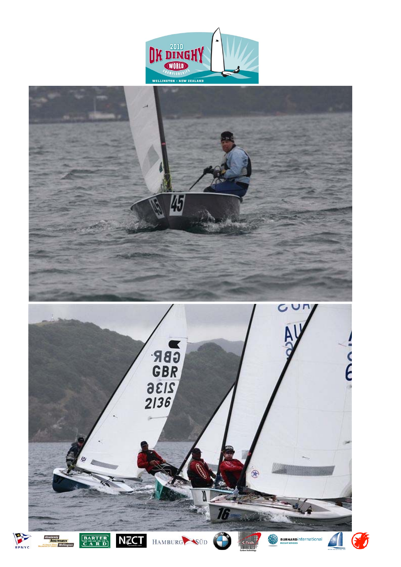